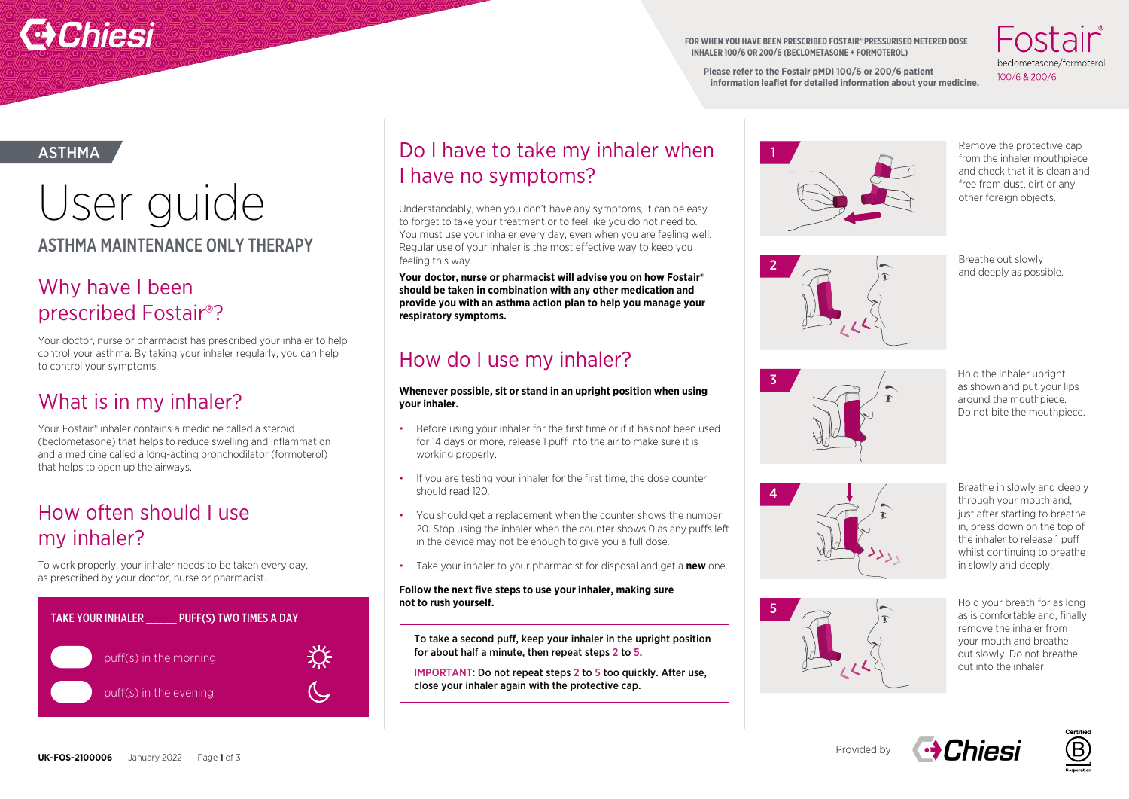

**FOR WHEN YOU HAVE BEEN PRESCRIBED FOSTAIR® PRESSURISED METERED DOSE INHALER 100/6 OR 200/6 (BECLOMETASONE + FORMOTEROL)**

heclometasone/formotero 100/6 & 200/6

**Please refer to the Fostair pMDI 100/6 or 200/6 patient information leaflet for detailed information about your medicine.** 

ASTHMA

## ASTHMA MAINTENANCE ONLY THERAPY USEF OUICE<br>
Understandably, when you don't have any symptoms, it can be easy<br>
to forget to take your treatment or to feel like you do not need to

### Why have I been prescribed Fostair®?

Your doctor, nurse or pharmacist has prescribed your inhaler to help control your asthma. By taking your inhaler regularly, you can help to control your symptoms.

## What is in my inhaler?

Your Fostair® inhaler contains a medicine called a steroid (beclometasone) that helps to reduce swelling and inflammation and a medicine called a long-acting bronchodilator (formoterol) that helps to open up the airways.

### How often should I use my inhaler?

To work properly, your inhaler needs to be taken every day, as prescribed by your doctor, nurse or pharmacist.



## Do I have to take my inhaler when I have no symptoms?

to forget to take your treatment or to feel like you do not need to. You must use your inhaler every day, even when you are feeling well. Regular use of your inhaler is the most effective way to keep you feeling this way.

**Your doctor, nurse or pharmacist will advise you on how Fostair® should be taken in combination with any other medication and provide you with an asthma action plan to help you manage your respiratory symptoms.**

## How do I use my inhaler?

### **Whenever possible, sit or stand in an upright position when using your inhaler.**

- Before using your inhaler for the first time or if it has not been used for 14 days or more, release 1 puff into the air to make sure it is working properly
- If you are testing your inhaler for the first time, the dose counter should read 120.
- You should get a replacement when the counter shows the number 20. Stop using the inhaler when the counter shows 0 as any puffs left in the device may not be enough to give you a full dose.
- Take your inhaler to your pharmacist for disposal and get a **new** one.

#### **Follow the next five steps to use your inhaler, making sure not to rush yourself.**

To take a second puff, keep your inhaler in the upright position for about half a minute, then repeat steps 2 to 5.

IMPORTANT: Do not repeat steps 2 to 5 too quickly. After use, close your inhaler again with the protective cap.



Remove the protective cap from the inhaler mouthpiece and check that it is clean and free from dust, dirt or any other foreign objects.



Breathe out slowly and deeply as possible.

3

Hold the inhaler upright as shown and put your lips around the mouthpiece. Do not bite the mouthpiece.





Breathe in slowly and deeply through your mouth and, just after starting to breathe in, press down on the top of the inhaler to release 1 puff whilst continuing to breathe in slowly and deeply.

Hold your breath for as long as is comfortable and, finally remove the inhaler from your mouth and breathe out slowly. Do not breathe out into the inhaler.



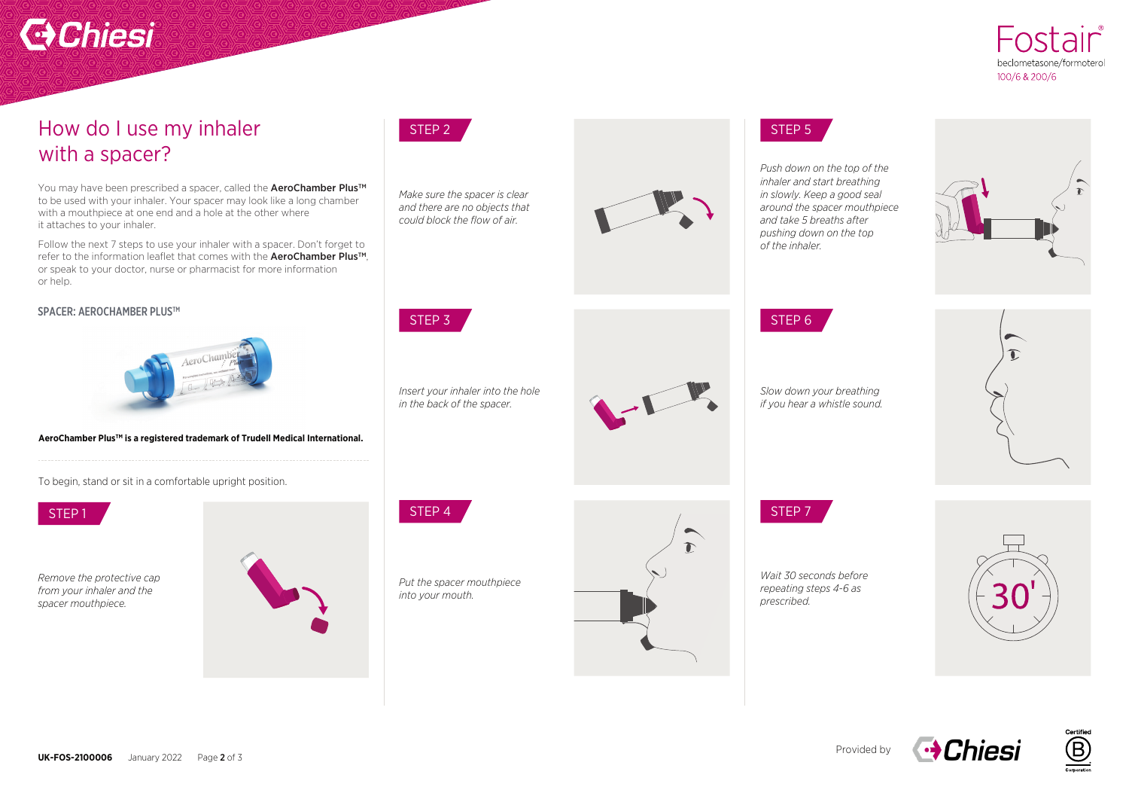# **C** Chiesi



### How do I use my inhaler with a spacer?

You may have been prescribed a spacer, called the **AeroChamber Plus™** to be used with your inhaler. Your spacer may look like a long chamber with a mouthpiece at one end and a hole at the other where it attaches to your inhaler.

Follow the next 7 steps to use your inhaler with a spacer. Don't forget to refer to the information leaflet that comes with the AeroChamber Plus™. or speak to your doctor, nurse or pharmacist for more information or help.

#### SPACER: AEROCHAMBER PLUS™



#### AeroChamber Plus<sup>™</sup> is a registered trademark of Trudell Medical International.

To begin, stand or sit in a comfortable upright position.



*Remove the protective cap from your inhaler and the spacer mouthpiece.*





*Make sure the spacer is clear and there are no objects that could block the flow of air.* 



*Insert your inhaler into the hole in the back of the spacer.*

*Put the spacer mouthpiece into your mouth.* 



*Push down on the top of the inhaler and start breathing in slowly. Keep a good seal around the spacer mouthpiece and take 5 breaths after pushing down on the top of the inhaler.* 





*Slow down your breathing if you hear a whistle sound.* 

*Wait 30 seconds before repeating steps 4-6 as* 

*prescribed.* 



**→ Chiesi**